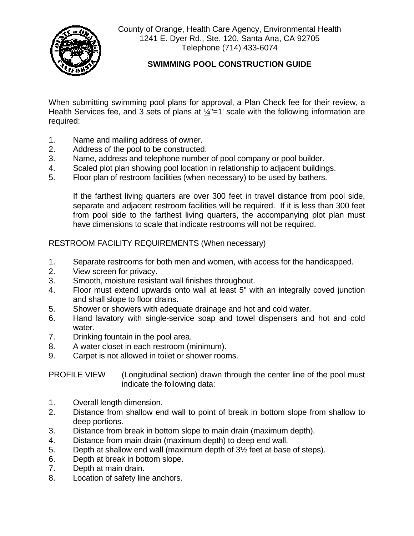

County of Orange, Health Care Agency, Environmental Health 1241 E. Dyer Rd., Ste. 120, Santa Ana, CA 92705 Telephone (714) 433-6074

## **SWIMMING POOL CONSTRUCTION GUIDE**

When submitting swimming pool plans for approval, a Plan Check fee for their review, a Health Services fee, and 3 sets of plans at  $\frac{1}{4}$ "=1' scale with the following information are required:

- 1. Name and mailing address of owner.
- 2. Address of the pool to be constructed.
- 3. Name, address and telephone number of pool company or pool builder.
- 4. Scaled plot plan showing pool location in relationship to adjacent buildings.
- 5. Floor plan of restroom facilities (when necessary) to be used by bathers.

 If the farthest living quarters are over 300 feet in travel distance from pool side, separate and adjacent restroom facilities will be required. If it is less than 300 feet from pool side to the farthest living quarters, the accompanying plot plan must have dimensions to scale that indicate restrooms will not be required.

RESTROOM FACILITY REQUIREMENTS (When necessary)

- 1. Separate restrooms for both men and women, with access for the handicapped.
- 2. View screen for privacy.
- 3. Smooth, moisture resistant wall finishes throughout.
- 4. Floor must extend upwards onto wall at least 5" with an integrally coved junction and shall slope to floor drains.
- 5. Shower or showers with adequate drainage and hot and cold water.
- 6. Hand lavatory with single-service soap and towel dispensers and hot and cold water.
- 7. Drinking fountain in the pool area.
- 8. A water closet in each restroom (minimum).
- 9. Carpet is not allowed in toilet or shower rooms.

PROFILE VIEW (Longitudinal section) drawn through the center line of the pool must indicate the following data:

- 1. Overall length dimension.
- 2. Distance from shallow end wall to point of break in bottom slope from shallow to deep portions.
- 3. Distance from break in bottom slope to main drain (maximum depth).
- 4. Distance from main drain (maximum depth) to deep end wall.
- 5. Depth at shallow end wall (maximum depth of 3½ feet at base of steps).
- 6. Depth at break in bottom slope.
- 7. Depth at main drain.
- 8. Location of safety line anchors.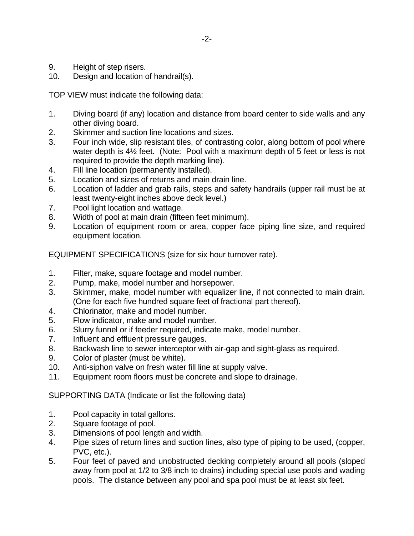- 9. Height of step risers.
- 10. Design and location of handrail(s).

TOP VIEW must indicate the following data:

- 1. Diving board (if any) location and distance from board center to side walls and any other diving board.
- 2. Skimmer and suction line locations and sizes.
- 3. Four inch wide, slip resistant tiles, of contrasting color, along bottom of pool where water depth is 4½ feet. (Note: Pool with a maximum depth of 5 feet or less is not required to provide the depth marking line).
- 4. Fill line location (permanently installed).
- 5. Location and sizes of returns and main drain line.
- 6. Location of ladder and grab rails, steps and safety handrails (upper rail must be at least twenty-eight inches above deck level.)
- 7. Pool light location and wattage.
- 8. Width of pool at main drain (fifteen feet minimum).
- 9. Location of equipment room or area, copper face piping line size, and required equipment location.

EQUIPMENT SPECIFICATIONS (size for six hour turnover rate).

- 1. Filter, make, square footage and model number.
- 2. Pump, make, model number and horsepower.
- 3. Skimmer, make, model number with equalizer line, if not connected to main drain. (One for each five hundred square feet of fractional part thereof).
- 4. Chlorinator, make and model number.
- 5. Flow indicator, make and model number.
- 6. Slurry funnel or if feeder required, indicate make, model number.
- 7. Influent and effluent pressure gauges.
- 8. Backwash line to sewer interceptor with air-gap and sight-glass as required.
- 9. Color of plaster (must be white).
- 10. Anti-siphon valve on fresh water fill line at supply valve.
- 11. Equipment room floors must be concrete and slope to drainage.

SUPPORTING DATA (Indicate or list the following data)

- 1. Pool capacity in total gallons.
- 2. Square footage of pool.
- 3. Dimensions of pool length and width.
- 4. Pipe sizes of return lines and suction lines, also type of piping to be used, (copper, PVC, etc.).
- 5. Four feet of paved and unobstructed decking completely around all pools (sloped away from pool at 1/2 to 3/8 inch to drains) including special use pools and wading pools. The distance between any pool and spa pool must be at least six feet.